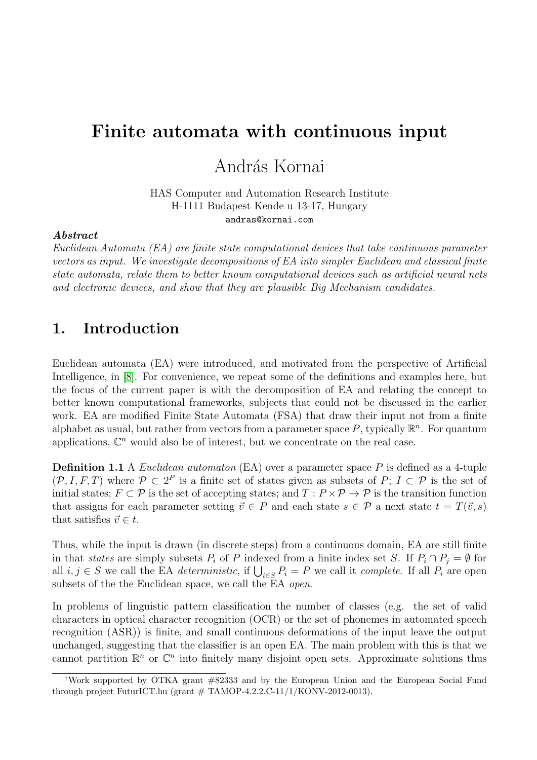# Finite automata with continuous input

### András Kornai

HAS Computer and Automation Research Institute H-1111 Budapest Kende u 13-17, Hungary andras@kornai.com

#### Abstract

Euclidean Automata (EA) are finite state computational devices that take continuous parameter vectors as input. We investigate decompositions of EA into simpler Euclidean and classical finite state automata, relate them to better known computational devices such as artificial neural nets and electronic devices, and show that they are plausible Big Mechanism candidates.

### 1. Introduction

Euclidean automata (EA) were introduced, and motivated from the perspective of Artificial Intelligence, in [\[8\]](#page-5-0). For convenience, we repeat some of the definitions and examples here, but the focus of the current paper is with the decomposition of EA and relating the concept to better known computational frameworks, subjects that could not be discussed in the earlier work. EA are modified Finite State Automata (FSA) that draw their input not from a finite alphabet as usual, but rather from vectors from a parameter space P, typically  $\mathbb{R}^n$ . For quantum applications,  $\mathbb{C}^n$  would also be of interest, but we concentrate on the real case.

**Definition 1.1** A *Euclidean automaton* (EA) over a parameter space  $P$  is defined as a 4-tuple  $(\mathcal{P}, I, F, T)$  where  $\mathcal{P} \subset 2^P$  is a finite set of states given as subsets of P;  $I \subset \mathcal{P}$  is the set of initial states;  $F \subset \mathcal{P}$  is the set of accepting states; and  $T : P \times \mathcal{P} \to \mathcal{P}$  is the transition function that assigns for each parameter setting  $\vec{v} \in P$  and each state  $s \in \mathcal{P}$  a next state  $t = T(\vec{v}, s)$ that satisfies  $\vec{v} \in t$ .

Thus, while the input is drawn (in discrete steps) from a continuous domain, EA are still finite in that states are simply subsets  $P_i$  of P indexed from a finite index set S. If  $P_i \cap P_j = \emptyset$  for all  $i, j \in S$  we call the EA *deterministic*, if  $\bigcup_{i \in S} P_i = P$  we call it *complete*. If all  $P_i$  are open subsets of the the Euclidean space, we call the EA *open*.

In problems of linguistic pattern classification the number of classes (e.g. the set of valid characters in optical character recognition (OCR) or the set of phonemes in automated speech recognition (ASR)) is finite, and small continuous deformations of the input leave the output unchanged, suggesting that the classifier is an open EA. The main problem with this is that we cannot partition  $\mathbb{R}^n$  or  $\mathbb{C}^n$  into finitely many disjoint open sets. Approximate solutions thus

<sup>†</sup>Work supported by OTKA grant #82333 and by the European Union and the European Social Fund through project FuturICT.hu (grant  $\#$  TAMOP-4.2.2.C-11/1/KONV-2012-0013).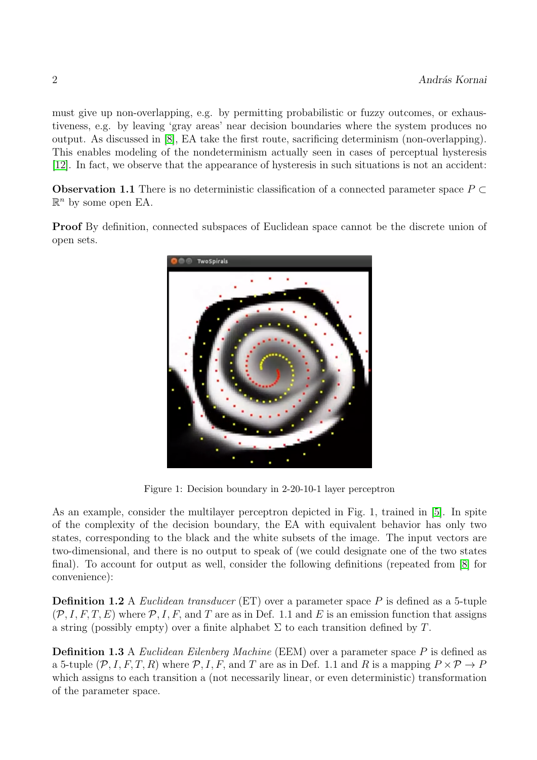must give up non-overlapping, e.g. by permitting probabilistic or fuzzy outcomes, or exhaustiveness, e.g. by leaving 'gray areas' near decision boundaries where the system produces no output. As discussed in [\[8\]](#page-5-0), EA take the first route, sacrificing determinism (non-overlapping). This enables modeling of the nondeterminism actually seen in cases of perceptual hysteresis [\[12\]](#page-5-1). In fact, we observe that the appearance of hysteresis in such situations is not an accident:

**Observation 1.1** There is no deterministic classification of a connected parameter space  $P \subset$  $\mathbb{R}^n$  by some open EA.

Proof By definition, connected subspaces of Euclidean space cannot be the discrete union of open sets.



Figure 1: Decision boundary in 2-20-10-1 layer perceptron

As an example, consider the multilayer perceptron depicted in Fig. 1, trained in [\[5\]](#page-5-2). In spite of the complexity of the decision boundary, the EA with equivalent behavior has only two states, corresponding to the black and the white subsets of the image. The input vectors are two-dimensional, and there is no output to speak of (we could designate one of the two states final). To account for output as well, consider the following definitions (repeated from [\[8\]](#page-5-0) for convenience):

**Definition 1.2** A *Euclidean transducer* (ET) over a parameter space  $P$  is defined as a 5-tuple  $(\mathcal{P}, I, F, T, E)$  where  $\mathcal{P}, I, F$ , and T are as in Def. 1.1 and E is an emission function that assigns a string (possibly empty) over a finite alphabet  $\Sigma$  to each transition defined by T.

**Definition 1.3** A Euclidean Eilenberg Machine (EEM) over a parameter space P is defined as a 5-tuple  $(\mathcal{P}, I, F, T, R)$  where  $\mathcal{P}, I, F$ , and T are as in Def. 1.1 and R is a mapping  $P \times \mathcal{P} \to P$ which assigns to each transition a (not necessarily linear, or even deterministic) transformation of the parameter space.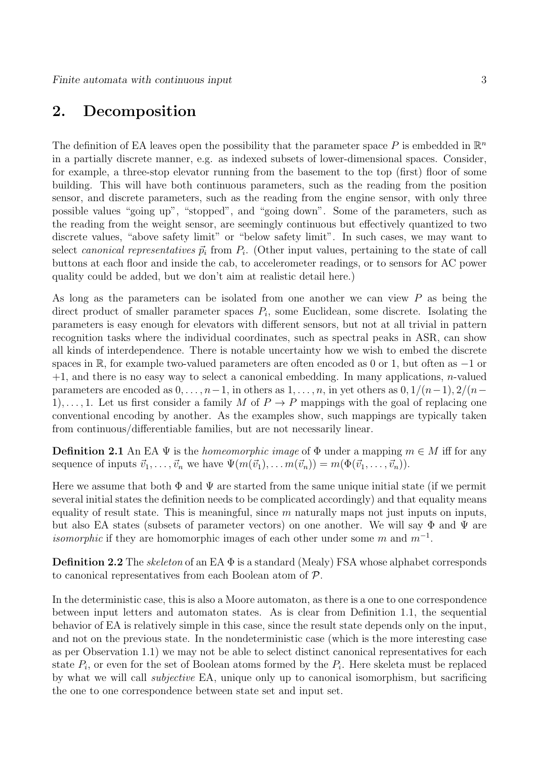### 2. Decomposition

The definition of EA leaves open the possibility that the parameter space P is embedded in  $\mathbb{R}^n$ in a partially discrete manner, e.g. as indexed subsets of lower-dimensional spaces. Consider, for example, a three-stop elevator running from the basement to the top (first) floor of some building. This will have both continuous parameters, such as the reading from the position sensor, and discrete parameters, such as the reading from the engine sensor, with only three possible values "going up", "stopped", and "going down". Some of the parameters, such as the reading from the weight sensor, are seemingly continuous but effectively quantized to two discrete values, "above safety limit" or "below safety limit". In such cases, we may want to select canonical representatives  $\vec{p}_i$  from  $P_i$ . (Other input values, pertaining to the state of call buttons at each floor and inside the cab, to accelerometer readings, or to sensors for AC power quality could be added, but we don't aim at realistic detail here.)

As long as the parameters can be isolated from one another we can view P as being the direct product of smaller parameter spaces  $P_i$ , some Euclidean, some discrete. Isolating the parameters is easy enough for elevators with different sensors, but not at all trivial in pattern recognition tasks where the individual coordinates, such as spectral peaks in ASR, can show all kinds of interdependence. There is notable uncertainty how we wish to embed the discrete spaces in R, for example two-valued parameters are often encoded as 0 or 1, but often as −1 or  $+1$ , and there is no easy way to select a canonical embedding. In many applications, *n*-valued parameters are encoded as  $0, \ldots, n-1$ , in others as  $1, \ldots, n$ , in yet others as  $0, 1/(n-1), 2/(n-1)$ 1),..., 1. Let us first consider a family M of  $P \to P$  mappings with the goal of replacing one conventional encoding by another. As the examples show, such mappings are typically taken from continuous/differentiable families, but are not necessarily linear.

**Definition 2.1** An EA  $\Psi$  is the *homeomorphic image* of  $\Phi$  under a mapping  $m \in M$  iff for any sequence of inputs  $\vec{v}_1, \ldots, \vec{v}_n$  we have  $\Psi(m(\vec{v}_1), \ldots, m(\vec{v}_n)) = m(\Phi(\vec{v}_1, \ldots, \vec{v}_n)).$ 

Here we assume that both  $\Phi$  and  $\Psi$  are started from the same unique initial state (if we permit several initial states the definition needs to be complicated accordingly) and that equality means equality of result state. This is meaningful, since  $m$  naturally maps not just inputs on inputs, but also EA states (subsets of parameter vectors) on one another. We will say  $\Phi$  and  $\Psi$  are *isomorphic* if they are homomorphic images of each other under some m and  $m^{-1}$ .

**Definition 2.2** The *skeleton* of an EA  $\Phi$  is a standard (Mealy) FSA whose alphabet corresponds to canonical representatives from each Boolean atom of P.

In the deterministic case, this is also a Moore automaton, as there is a one to one correspondence between input letters and automaton states. As is clear from Definition 1.1, the sequential behavior of EA is relatively simple in this case, since the result state depends only on the input, and not on the previous state. In the nondeterministic case (which is the more interesting case as per Observation 1.1) we may not be able to select distinct canonical representatives for each state  $P_i$ , or even for the set of Boolean atoms formed by the  $P_i$ . Here skeleta must be replaced by what we will call subjective EA, unique only up to canonical isomorphism, but sacrificing the one to one correspondence between state set and input set.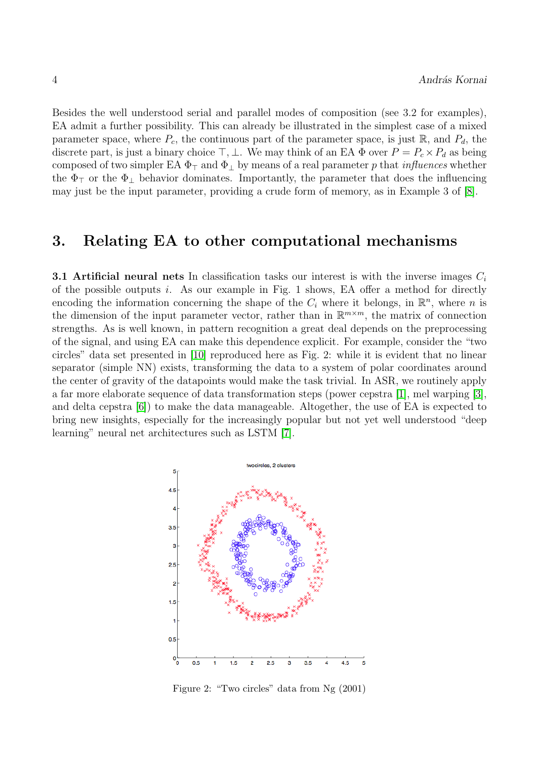Besides the well understood serial and parallel modes of composition (see 3.2 for examples), EA admit a further possibility. This can already be illustrated in the simplest case of a mixed parameter space, where  $P_c$ , the continuous part of the parameter space, is just  $\mathbb{R}$ , and  $P_d$ , the discrete part, is just a binary choice  $\top$ ,  $\bot$ . We may think of an EA  $\Phi$  over  $P = P_c \times P_d$  as being composed of two simpler EA  $\Phi_{\perp}$  and  $\Phi_{\perp}$  by means of a real parameter p that *influences* whether the  $\Phi_{\perp}$  or the  $\Phi_{\perp}$  behavior dominates. Importantly, the parameter that does the influencing may just be the input parameter, providing a crude form of memory, as in Example 3 of [\[8\]](#page-5-0).

#### 3. Relating EA to other computational mechanisms

**3.1 Artificial neural nets** In classification tasks our interest is with the inverse images  $C_i$ of the possible outputs  $i$ . As our example in Fig. 1 shows, EA offer a method for directly encoding the information concerning the shape of the  $C_i$  where it belongs, in  $\mathbb{R}^n$ , where n is the dimension of the input parameter vector, rather than in  $\mathbb{R}^{m \times m}$ , the matrix of connection strengths. As is well known, in pattern recognition a great deal depends on the preprocessing of the signal, and using EA can make this dependence explicit. For example, consider the "two circles" data set presented in [\[10\]](#page-5-3) reproduced here as Fig. 2: while it is evident that no linear separator (simple NN) exists, transforming the data to a system of polar coordinates around the center of gravity of the datapoints would make the task trivial. In ASR, we routinely apply a far more elaborate sequence of data transformation steps (power cepstra [\[1\]](#page-5-4), mel warping [\[3\]](#page-5-5), and delta cepstra [\[6\]](#page-5-6)) to make the data manageable. Altogether, the use of EA is expected to bring new insights, especially for the increasingly popular but not yet well understood "deep learning" neural net architectures such as LSTM [\[7\]](#page-5-7).



Figure 2: "Two circles" data from Ng (2001)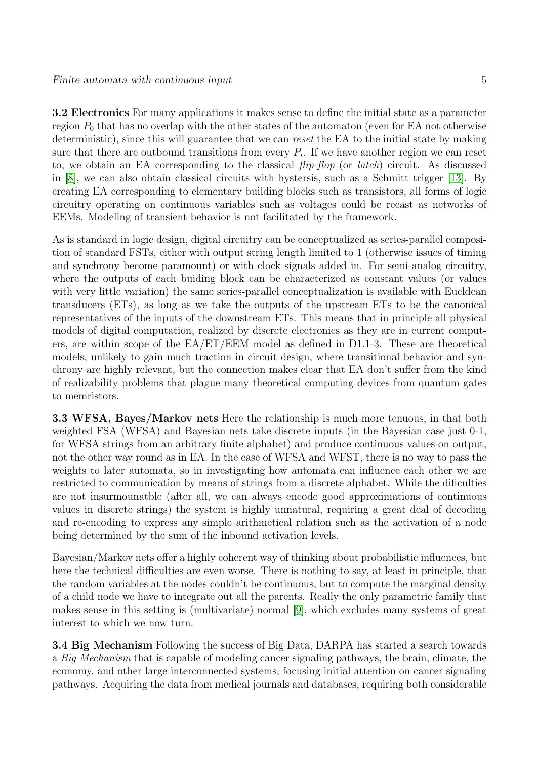3.2 Electronics For many applications it makes sense to define the initial state as a parameter region  $P_0$  that has no overlap with the other states of the automaton (even for EA not otherwise deterministic), since this will guarantee that we can reset the EA to the initial state by making sure that there are outbound transitions from every  $P_i$ . If we have another region we can reset to, we obtain an EA corresponding to the classical  $flip\text{-}flop$  (or *latch*) circuit. As discussed in [\[8\]](#page-5-0), we can also obtain classical circuits with hystersis, such as a Schmitt trigger [\[13\]](#page-5-8). By creating EA corresponding to elementary building blocks such as transistors, all forms of logic circuitry operating on continuous variables such as voltages could be recast as networks of EEMs. Modeling of transient behavior is not facilitated by the framework.

As is standard in logic design, digital circuitry can be conceptualized as series-parallel composition of standard FSTs, either with output string length limited to 1 (otherwise issues of timing and synchrony become paramount) or with clock signals added in. For semi-analog circuitry, where the outputs of each buiding block can be characterized as constant values (or values with very little variation) the same series-parallel conceptualization is available with Eucldean transducers (ETs), as long as we take the outputs of the upstream ETs to be the canonical representatives of the inputs of the downstream ETs. This means that in principle all physical models of digital computation, realized by discrete electronics as they are in current computers, are within scope of the EA/ET/EEM model as defined in D1.1-3. These are theoretical models, unlikely to gain much traction in circuit design, where transitional behavior and synchrony are highly relevant, but the connection makes clear that EA don't suffer from the kind of realizability problems that plague many theoretical computing devices from quantum gates to memristors.

3.3 WFSA, Bayes/Markov nets Here the relationship is much more tenuous, in that both weighted FSA (WFSA) and Bayesian nets take discrete inputs (in the Bayesian case just 0-1, for WFSA strings from an arbitrary finite alphabet) and produce continuous values on output, not the other way round as in EA. In the case of WFSA and WFST, there is no way to pass the weights to later automata, so in investigating how automata can influence each other we are restricted to communication by means of strings from a discrete alphabet. While the dificulties are not insurmounatble (after all, we can always encode good approximations of continuous values in discrete strings) the system is highly unnatural, requiring a great deal of decoding and re-encoding to express any simple arithmetical relation such as the activation of a node being determined by the sum of the inbound activation levels.

Bayesian/Markov nets offer a highly coherent way of thinking about probabilistic influences, but here the technical difficulties are even worse. There is nothing to say, at least in principle, that the random variables at the nodes couldn't be continuous, but to compute the marginal density of a child node we have to integrate out all the parents. Really the only parametric family that makes sense in this setting is (multivariate) normal [\[9\]](#page-5-9), which excludes many systems of great interest to which we now turn.

3.4 Big Mechanism Following the success of Big Data, DARPA has started a search towards a *Big Mechanism* that is capable of modeling cancer signaling pathways, the brain, climate, the economy, and other large interconnected systems, focusing initial attention on cancer signaling pathways. Acquiring the data from medical journals and databases, requiring both considerable